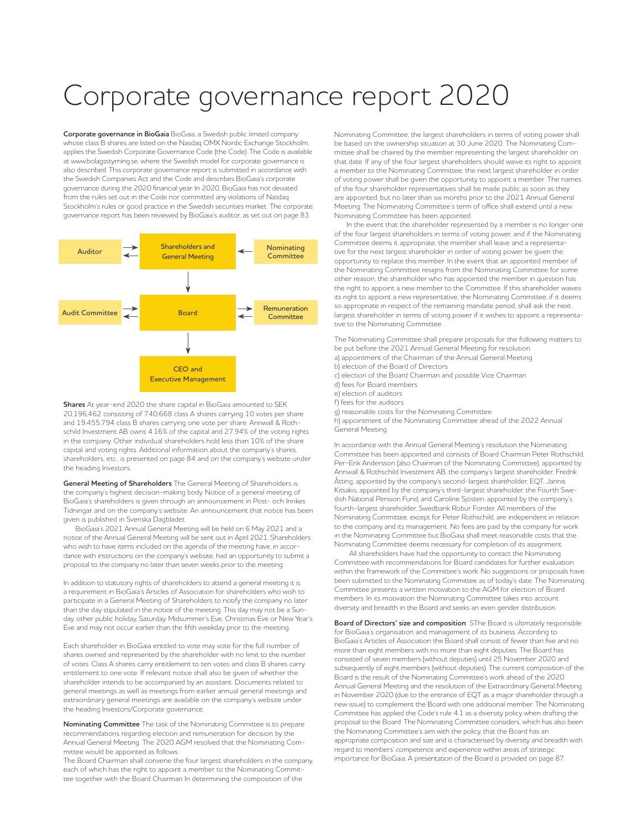# Corporate governance report 2020

**Corporate governance in BioGaia** BioGaia, a Swedish public limited company whose class B shares are listed on the Nasdaq OMX Nordic Exchange Stockholm, applies the Swedish Corporate Governance Code (the Code). The Code is available at www.bolagsstyrning.se, where the Swedish model for corporate governance is also described. This corporate governance report is submitted in accordance with the Swedish Companies Act and the Code and describes BioGaia's corporate governance during the 2020 financial year. In 2020, BioGaia has not deviated from the rules set out in the Code nor committed any violations of Nasdaq Stockholm's rules or good practice in the Swedish securities market. The corporate governance report has been reviewed by BioGaia's auditor, as set out on page 83.



**Shares** At year-end 2020 the share capital in BioGaia amounted to SEK 20,196,462 consisting of 740,668 class A shares carrying 10 votes per share and 19,455,794 class B shares carrying one vote per share. Annwall & Rothschild Investment AB owns 4.16% of the capital and 27.94% of the voting rights in the company. Other individual shareholders hold less than 10% of the share capital and voting rights. Additional information about the company's shares, shareholders, etc., is presented on page 84 and on the company's website under the heading Investors.

**General Meeting of Shareholders** The General Meeting of Shareholders is the company's highest decision-making body. Notice of a general meeting of BioGaia's shareholders is given through an announcement in Post- och Inrikes Tidningar and on the company's website. An announcement that notice has been given is published in Svenska Dagbladet.

BioGaia's 2021 Annual General Meeting will be held on 6 May 2021 and a notice of the Annual General Meeting will be sent out in April 2021. Shareholders who wish to have items included on the agenda of the meeting have, in accordance with instructions on the company's website, had an opportunity to submit a proposal to the company no later than seven weeks prior to the meeting.

In addition to statutory rights of shareholders to attend a general meeting it is a requirement in BioGaia's Articles of Association for shareholders who wish to participate in a General Meeting of Shareholders to notify the company no later than the day stipulated in the notice of the meeting. This day may not be a Sunday, other public holiday, Saturday, Midsummer's Eve, Christmas Eve or New Year's Eve and may not occur earlier than the fifth weekday prior to the meeting.

Each shareholder in BioGaia entitled to vote may vote for the full number of shares owned and represented by the shareholder with no limit to the number of votes. Class A shares carry entitlement to ten votes and class B shares carry entitlement to one vote. If relevant notice shall also be given of whether the shareholder intends to be accompanied by an assistant. Documents related to general meetings as well as meetings from earlier annual general meetings and extraordinary general meetings are available on the company's website under the heading Investors/Corporate governance.

**Nominating Committee** The task of the Nominating Committee is to prepare recommendations regarding election and remuneration for decision by the Annual General Meeting. The 2020 AGM resolved that the Nominating Committee would be appointed as follows:

The Board Chairman shall convene the four largest shareholders in the company, each of which has the right to appoint a member to the Nominating Committee together with the Board Chairman In determining the composition of the

Nominating Committee, the largest shareholders in terms of voting power shall be based on the ownership situation at 30 June 2020. The Nominating Committee shall be chaired by the member representing the largest shareholder on that date. If any of the four largest shareholders should waive its right to appoint a member to the Nominating Committee, the next largest shareholder in order of voting power shall be given the opportunity to appoint a member. The names of the four shareholder representatives shall be made public as soon as they are appointed, but no later than six months prior to the 2021 Annual General Meeting. The Nominating Committee's term of office shall extend until a new Nominating Committee has been appointed.

In the event that the shareholder represented by a member is no longer one of the four largest shareholders in terms of voting power, and if the Nominating Committee deems it appropriate, the member shall leave and a representative for the next largest shareholder in order of voting power be given the opportunity to replace this member. In the event that an appointed member of the Nominating Committee resigns from the Nominating Committee for some other reason, the shareholder who has appointed the member in question has the right to appoint a new member to the Committee. If this shareholder waives its right to appoint a new representative, the Nominating Committee, if it deems so appropriate in respect of the remaining mandate period, shall ask the next largest shareholder in terms of voting power if it wishes to appoint a representative to the Nominating Committee.

The Nominating Committee shall prepare proposals for the following matters to be put before the 2021 Annual General Meeting for resolution: a) appointment of the Chairman of the Annual General Meeting b) election of the Board of Directors c) election of the Board Chairman and possible Vice Chairman d) fees for Board members e) election of auditors

f) fees for the auditors

g) reasonable costs for the Nominating Committee

h) appointment of the Nominating Committee ahead of the 2022 Annual General Meeting.

In accordance with the Annual General Meeting's resolution the Nominating Committee has been appointed and consists of Board Chairman Peter Rothschild, Per-Erik Andersson (also Chairman of the Nominating Committee), appointed by Annwall & Rothschild Investment AB, the company's largest shareholder, Fredrik Åtting, appointed by the company's second-largest shareholder, EQT, Jannis Kitsakis, appointed by the company's third-largest shareholder, the Fourth Swedish National Pension Fund, and Caroline Sjösten, appointed by the company's fourth-largest shareholder, Swedbank Robur Fonder. All members of the Nominating Committee, except for Peter Rothschild, are independent in relation to the company and its management. No fees are paid by the company for work in the Nominating Committee but BioGaia shall meet reasonable costs that the Nominating Committee deems necessary for completion of its assignment.

All shareholders have had the opportunity to contact the Nominating Committee with recommendations for Board candidates for further evaluation within the framework of the Committee's work. No suggestions or proposals have been submitted to the Nominating Committee as of today's date. The Nominating Committee presents a written motivation to the AGM for election of Board members. In its motivation the Nominating Committee takes into account diversity and breadth in the Board and seeks an even gender distribution.

**Board of Directors' size and composition** SThe Board is ultimately responsible for BioGaia's organisation and management of its business. According to BioGaia's Articles of Association the Board shall consist of fewer than five and no more than eight members with no more than eight deputies. The Board has consisted of seven members (without deputies) until 25 November 2020 and subsequently of eight members (without deputies). The current composition of the Board is the result of the Nominating Committee's work ahead of the 2020 Annual General Meeting and the resolution of the Extraordinary General Meeting in November 2020 (due to the entrance of EQT as a major shareholder through a new issue) to complement the Board with one additional member. The Nominating Committee has applied the Code's rule 4.1 as a diversity policy when drafting the proposal to the Board. The Nominating Committee considers, which has also been the Nominating Committee's aim with the policy, that the Board has an appropriate composition and size and is characterised by diversity and breadth with regard to members' competence and experience within areas of strategic importance for BioGaia. A presentation of the Board is provided on page 87.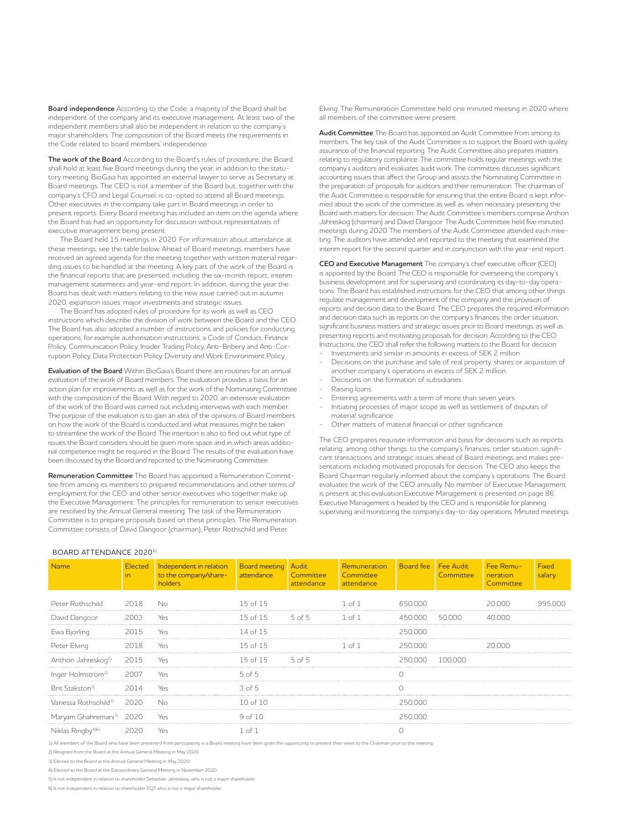**Board independence** According to the Code, a majority of the Board shall be independent of the company and its executive management. At least two of the independent members shall also be independent in relation to the company's major shareholders. The composition of the Board meets the requirements in the Code related to board members' independence.

**The work of the Board** According to the Board's rules of procedure, the Board shall hold at least five Board meetings during the year, in addition to the statutory meeting. BioGaia has appointed an external lawyer to serve as Secretary at Board meetings. The CEO is not a member of the Board but, together with the company's CFO and Legal Counsel, is co-opted to attend all Board meetings. Other executives in the company take part in Board meetings in order to present reports. Every Board meeting has included an item on the agenda where the Board has had an opportunity for discussion without representatives of executive management being present.

The Board held 15 meetings in 2020. For information about attendance at these meetings, see the table below. Ahead of Board meetings, members have received an agreed agenda for the meeting together with written material regarding issues to be handled at the meeting. A key part of the work of the Board is the financial reports that are presented, including the six-month report, interim management statements and year-end report. In addition, during the year the Board has dealt with matters relating to the new issue carried out in autumn 2020, expansion issues, major investments and strategic issues.

The Board has adopted rules of procedure for its work as well as CEO instructions which describe the division of work between the Board and the CEO. The Board has also adopted a number of instructions and policies for conducting operations, for example authorisation instructions, a Code of Conduct, Finance Policy, Communication Policy, Insider Trading Policy, Anti-Bribery and Anti-Corruption Policy, Data Protection Policy, Diversity and Work Environment Policy.

**Evaluation of the Board** Within BioGaia's Board there are routines for an annual evaluation of the work of Board members. The evaluation provides a basis for an action plan for improvements as well as for the work of the Nominating Committee with the composition of the Board. With regard to 2020, an extensive evaluation of the work of the Board was carried out including interviews with each member. The purpose of the evaluation is to gain an idea of the opinions of Board members on how the work of the Board is conducted and what measures might be taken to streamline the work of the Board. The intention is also to find out what type of issues the Board considers should be given more space and in which areas additional competence might be required in the Board. The results of the evaluation have been discussed by the Board and reported to the Nominating Committee.

**Remuneration Committee** The Board has appointed a Remuneration Committee from among its members to prepared recommendations and other terms of employment for the CEO and other senior executives who together make up the Executive Management. The principles for remuneration to senior executives are resolved by the Annual General meeting. The task of the Remuneration Committee is to prepare proposals based on these principles. The Remuneration Committee consists of David Dangoor (chairman), Peter Rothschild and Peter

Elving. The Remuneration Committee held one minuted meeting in 2020 where all members of the committee were present.

**Audit Committee** The Board has appointed an Audit Committee from among its members. The key task of the Audit Committee is to support the Board with quality assurance of the financial reporting. The Audit Committee also prepares matters relating to regulatory compliance. The committee holds regular meetings with the company's auditors and evaluates audit work. The committee discusses significant accounting issues that affect the Group and assists the Nominating Committee in the preparation of proposals for auditors and their remuneration. The chairman of the Audit Committee is responsible for ensuring that the entire Board is kept informed about the work of the committee as well as, when necessary, presenting the Board with matters for decision. The Audit Committee's members comprise Anthon Jahreskog (chairman) and David Dangoor. The Audit Committee held five minuted meetings during 2020. The members of the Audit Committee attended each meeting. The auditors have attended and reported to the meeting that examined the interim report for the second quarter and in conjunction with the year-end report.

**CEO and Executive Management** The company's chief executive officer (CEO) is appointed by the Board. The CEO is responsible for overseeing the company's business development and for supervising and coordinating its day-to-day operations. The Board has established instructions for the CEO that among other things regulate management and development of the company and the provision of reports and decision data to the Board. The CEO prepares the required information and decision data such as reports on the company's finances, the order situation, significant business matters and strategic issues prior to Board meetings, as well as presenting reports and motivating proposals for decision. According to the CEO Instructions, the CEO shall refer the following matters to the Board for decision: - Investments and similar in amounts in excess of SEK 2 million

- Decisions on the purchase and sale of real property, shares or acquisition of
- another company's operations in excess of SEK 2 million. Decisions on the formation of subsidiaries
- Raising loans.
- 
- Entering agreements with a term of more than seven years.
- Initiating processes of major scope as well as settlement of disputes of material significance.
- Other matters of material financial or other significance.

The CEO prepares requisite information and basis for decisions such as reports relating, among other things, to the company's finances, order situation, significant transactions and strategic issues ahead of Board meetings and makes presentations including motivated proposals for decision. The CEO also keeps the Board Chairman regularly informed about the company's operations. The Board evaluates the work of the CEO annually. No member of Executive Management is present at this evaluation.Executive Management is presented on page 86. Executive Management is headed by the CEO and is responsible for planning supervising and monitoring the company's day-to-day operations. Minuted meetings

### BOARD ATTENDANCE 20201)

| <b>Name</b>                      | Elected<br>$\overline{m}$ | Independent in relation<br>to the company/share-<br>holders | Board meeting Audit<br>attendance | Committee<br>attendance | Remuneration<br>Committee<br>attendance | <b>Board</b> fee | Fee Audit<br>Committee | Fee Remu-<br>neration<br>Committee | Fixed<br>salary |
|----------------------------------|---------------------------|-------------------------------------------------------------|-----------------------------------|-------------------------|-----------------------------------------|------------------|------------------------|------------------------------------|-----------------|
| Peter Rothschild                 | 2018                      | No                                                          | $15$ of $15$                      |                         | $1$ of $1$                              | 650.000          |                        | 20.000                             | 995.000         |
| David Dangoor                    | 2003                      | Yes                                                         | $15$ of $15$                      | $5$ of $5$              | $1$ of $1$                              | 450.000          | 50000                  | 40.000                             |                 |
| Ewa Björling                     | 2015                      | Yes                                                         | 14 of $15$                        |                         |                                         | 250.000          |                        |                                    |                 |
| Peter Elving                     | 2018                      | Yes                                                         | $15$ of $15$                      |                         | 1 of 1                                  | 250,000          |                        | 20.000                             |                 |
| Anthon Jahreskog <sup>5)</sup>   | 2015                      | Yes                                                         | $15$ of $15$                      | $5$ of $5$              |                                         | 250000           | 100.000                |                                    |                 |
| Inger Holmström <sup>2)</sup>    | 2007                      | Yes.                                                        | $5$ of $5$                        |                         |                                         |                  |                        |                                    |                 |
| Brit Stakston <sup>2)</sup>      | 2014                      | Yes                                                         | $3$ of $5$                        |                         |                                         |                  |                        |                                    |                 |
| Vanessa Rothschild <sup>3)</sup> | 2020                      | No                                                          | 10 of 10                          |                         |                                         | 250000           |                        |                                    |                 |
| Maryam Ghahremani <sup>3)</sup>  | 2020                      | Yes                                                         | 9 <sub>of</sub> 10                |                         |                                         | 250000           |                        |                                    |                 |
| Niklas Ringby <sup>496</sup>     | 2020                      | Yes.                                                        | $1$ of $1$                        |                         |                                         |                  |                        |                                    |                 |

1) All members of the Board who have been prevented from participating in a Board meeting have been given the opportunity to present their views to the Chairman prior to the meeting.

2) Resigned from the Board at the Annual General Meeting in May 2020

3) Elected to the Board at the Annual General Meeting in May 2020

4) Elected to the Board at the Extraordinary General Meeting in November 2020

5) Is not independent in relation to shareholder Sebastian Jahreskog, who is not a major shareholder.

6) Is not independent in relation to shareholder EQT who is not a major shareholder.